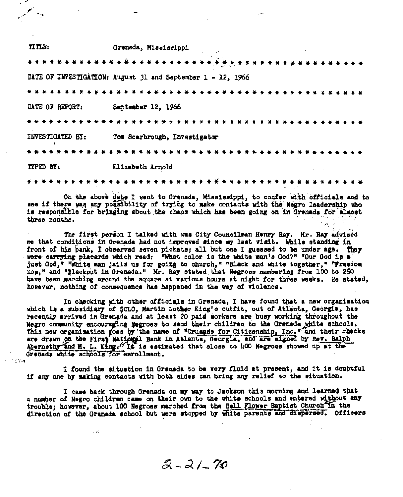| TITLE:           | Grenada, Mississippi                                        |
|------------------|-------------------------------------------------------------|
|                  |                                                             |
|                  | DATE OF INVESTIGATION: August 31 and September 1 - 12, 1966 |
|                  |                                                             |
| DATE OF REPORT:  | September 12, 1966                                          |
|                  |                                                             |
| INVESTIGATED BY: | Tom Scarbrough, Investigator                                |
|                  |                                                             |
| TYPED BY:        | Elizabeth Arnold                                            |
|                  |                                                             |

On the above date I went to Grenada, Mississippi, to confer with officials and to see if there was any possibility of trying to make contacts with the Negro leadership who is responsible for bringing about the chaos which has been going on in Grenada for almost three months.

The first person I talked with was City Councilman Henry Ray. Mr. Ray advised me that conditions in Grenada had not improved since my last visit. While standing in front of his bank, I observed seven pickets; all but one I guassed to be under age. They were carrying placards which read: "What color is the white man's God?" "Our God is a just God," "White man jails us for going to church," "Black and white together," "Freedom now," and "Blackout in Grenada." Mr. Ray stated that Negroes numbering from 100 to 250 have been marching around the square at various hours at night for three weeks. He stated, however, nothing of consequence has happened in the way of violence.

In checking yith other officials in Grenada, I have found that a new organization which is a subsidiary of SCLC, Martin Luther King's outfit, out of Atlanta, Georgia, has recently arrived in Grenada and at least 20 paid workers are busy working throughout the Negro community encouraging Negroes to send their children to the Grenada white schools. This new organization goes by the name of "Crusade for Citizenship, Inc." and their checks are drawn on the First National Bank in Atlanta, Georgia, and are signed by Rev. Balph Abernethy and M. L. King. The is estimated that close to 400 Negroes showed up at the Grenada white schools for earollment.

I found the situation in Grenada to be very fluid at present, and it is doubtful if any one by making contacts with both sides can bring any relief to the situation.

्टोडाम

 $\ldots$   $\tau$ 

I came back through Grenada on my way to Jackson this morning and learned that a number of Negro children came on their own to the white schools and entered without any trouble; however, about 100 Negroes marched from the Bell Flower Baptist Church in the direction of the Granada school but were stopped by white parents and dispersed. Officers

 $2 - 21 - 70$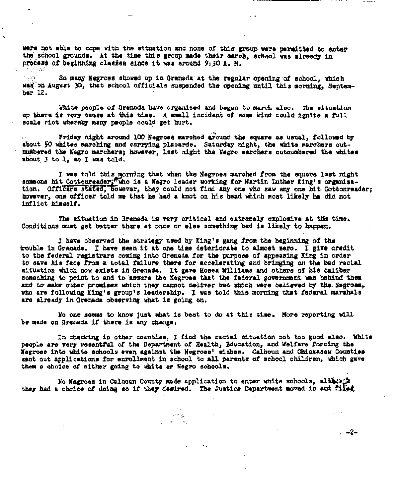were not able to cope with the situation and none of this group were parmitted to enter the school grounds. At the time this group made their march, school was already in pròcess of beginning classes since it was around 9:30 A. M.  $\mathcal{O}(\mathcal{O}_0\mathbb{Z}^d)$ 

ż ą,

> So many Negroes showed up in Grenada at the regular opening of school, which was on August 30, that school officials suspended the opening until this morning, Septem $ber 12.$

White people of Grenada have organized and begun to march also. The situation up there is very tense at this time. A small incident of some kind could ignite a full scale riot whereby many prople could get hurt.

Friday night around 100 Negroes marched around the square as usual, followed by about 50 whites marching and carrying placards. Saturday night, the white marchers outmunbered the Negro marchers; howaver, last might the Negro marchers outnumbered the whites mbout 3 to 1, so I was told.

I was told this morning that when the Negroes marched from the square last night someons hit Cottonreader; Twho is a Negro leader working for Martin Luther King's organization. Officers stated, however, they could not find any one who saw any one hit Cottonreader; however, one officer told me that he had a knot on his head which most likely he did not inflict himself.

The situation in Grenada is very critical and extremely explosive at this time. Conditions must get better there at once or else something bad is likely to happen.

I have observed the strategy used by King's gang from the beginning of the trouble in Grenada. I have seen it at one time deteriorate to almost zero. I give credit to the federal registrars coming into Grenada for the purpose of appeasing King in order to save his face from a total failure there for accelerating and bringing on the bad racial situation which now exists in Grenada. It gave Hosea Williams and others of his caliber something to point to and to assure the Negroes that the federal government was behind them and to sake other promises which they cannot deliver but which were believed by the Negross. who are following King's group's leadership. I was told this morning that federal marshals are already in Grenada observing what is going on.

No one seems to know just what is best to do at this time. More reporting will be made on Grenada if there is any change.

In checking in other counties, I find the racial situation not too good also. White people are very resentful of the Department of Health, Education, and Welfare forcing the Negross into white schools even against the Negross' wishes. Calhoun and Chickasaw Counties sant out applications for enrollment in school to all parents of school children, which gave them a choice of either going to white or Negro schools.

 $-2-$ 

No Negroes in Calhoun County made application to enter white schools, altered they had a choice of doing so if they desired. The Justics Department moved in and files

 $\sigma_{\rm H} = 0.12$  km

 $\langle\cdot\, \cdot\rangle_{\mathcal{A}}$  .  $\langle\cdot\, \cdot\rangle_{\mathcal{A}}$  $\langle \hat{\sigma}_{\vec{h}}^{\text{obs}} \rangle_{\text{NSE}}^{2}$  . 经国家 网络中国